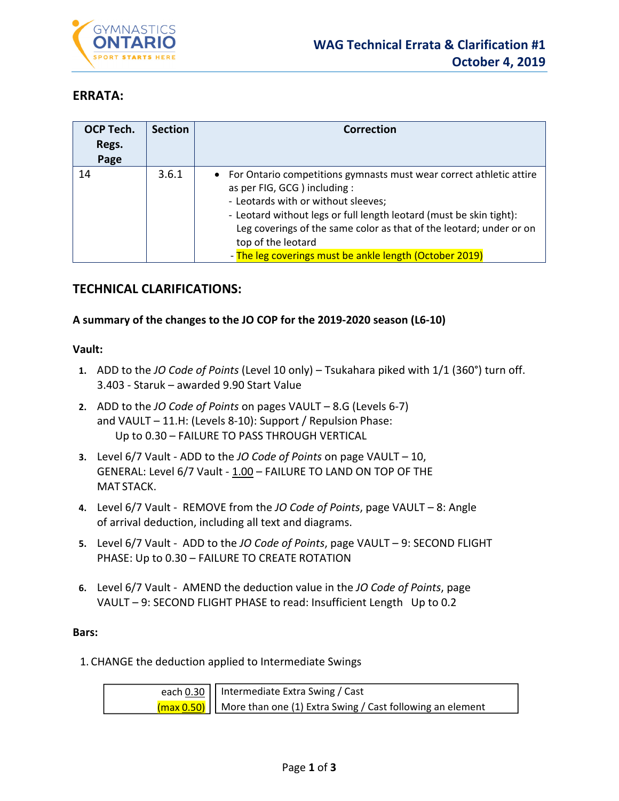

# **ERRATA:**

| <b>OCP Tech.</b><br>Regs.<br>Page | <b>Section</b> | Correction                                                                                                                                                                                                                                                                                                                                                                   |
|-----------------------------------|----------------|------------------------------------------------------------------------------------------------------------------------------------------------------------------------------------------------------------------------------------------------------------------------------------------------------------------------------------------------------------------------------|
| 14                                | 3.6.1          | • For Ontario competitions gymnasts must wear correct athletic attire<br>as per FIG, GCG ) including :<br>- Leotards with or without sleeves;<br>- Leotard without legs or full length leotard (must be skin tight):<br>Leg coverings of the same color as that of the leotard; under or on<br>top of the leotard<br>- The leg coverings must be ankle length (October 2019) |

# **TECHNICAL CLARIFICATIONS:**

## **A summary of the changes to the JO COP for the 2019‐2020 season (L6‐10)**

#### **Vault:**

- **1.** ADD to the *JO Code of Points* (Level 10 only) Tsukahara piked with 1/1 (360°) turn off. 3.403 ‐ Staruk – awarded 9.90 Start Value
- **2.** ADD to the *JO Code of Points* on pages VAULT 8.G (Levels 6‐7) and VAULT – 11.H: (Levels 8‐10): Support / Repulsion Phase: Up to 0.30 – FAILURE TO PASS THROUGH VERTICAL
- **3.** Level 6/7 Vault ‐ ADD to the *JO Code of Points* on page VAULT 10, GENERAL: Level 6/7 Vault - 1.00 - FAILURE TO LAND ON TOP OF THE MAT STACK.
- **4.** Level 6/7 Vault ‐ REMOVE from the *JO Code of Points*, page VAULT 8: Angle of arrival deduction, including all text and diagrams.
- **5.** Level 6/7 Vault ‐ ADD to the *JO Code of Points*, page VAULT 9: SECOND FLIGHT PHASE: Up to 0.30 – FAILURE TO CREATE ROTATION
- **6.** Level 6/7 Vault ‐ AMEND the deduction value in the *JO Code of Points*, page VAULT – 9: SECOND FLIGHT PHASE to read: Insufficient Length Up to 0.2

#### **Bars:**

1. CHANGE the deduction applied to Intermediate Swings

| each 0.30     Intermediate Extra Swing / Cast                                                    |
|--------------------------------------------------------------------------------------------------|
| $\frac{1}{2}$ (max 0.50) $\frac{1}{2}$ More than one (1) Extra Swing / Cast following an element |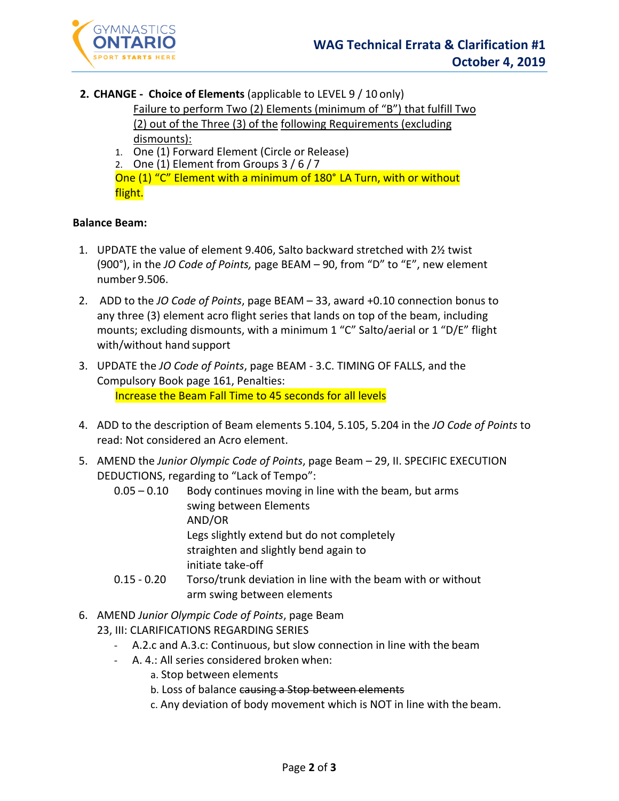

**2. CHANGE ‐ Choice of Elements** (applicable to LEVEL 9 / 10 only)

Failure to perform Two (2) Elements (minimum of "B") that fulfill Two (2) out of the Three (3) of the following Requirements (excluding dismounts):

- 1. One (1) Forward Element (Circle or Release)
- 2. One (1) Element from Groups 3 / 6 / 7

One (1) "C" Element with a minimum of 180° LA Turn, with or without flight.

#### **Balance Beam:**

- 1. UPDATE the value of element 9.406, Salto backward stretched with 2½ twist (900°), in the *JO Code of Points,* page BEAM – 90, from "D" to "E", new element number 9.506.
- 2. ADD to the *JO Code of Points*, page BEAM 33, award +0.10 connection bonus to any three (3) element acro flight series that lands on top of the beam, including mounts; excluding dismounts, with a minimum 1 "C" Salto/aerial or 1 "D/E" flight with/without hand support
- 3. UPDATE the *JO Code of Points*, page BEAM ‐ 3.C. TIMING OF FALLS, and the Compulsory Book page 161, Penalties: Increase the Beam Fall Time to 45 seconds for all levels
- 4. ADD to the description of Beam elements 5.104, 5.105, 5.204 in the *JO Code of Points* to read: Not considered an Acro element.
- 5. AMEND the *Junior Olympic Code of Points*, page Beam 29, II. SPECIFIC EXECUTION DEDUCTIONS, regarding to "Lack of Tempo":
	- $0.05 0.10$  Body continues moving in line with the beam, but arms swing between Elements AND/OR Legs slightly extend but do not completely straighten and slightly bend again to initiate take‐off 0.15 ‐ 0.20 Torso/trunk deviation in line with the beam with or without
	- arm swing between elements
- 6. AMEND *Junior Olympic Code of Points*, page Beam 23, III: CLARIFICATIONS REGARDING SERIES
	- ‐ A.2.c and A.3.c: Continuous, but slow connection in line with the beam
	- ‐ A. 4.: All series considered broken when:
		- a. Stop between elements
		- b. Loss of balance causing a Stop between elements
		- c. Any deviation of body movement which is NOT in line with the beam.